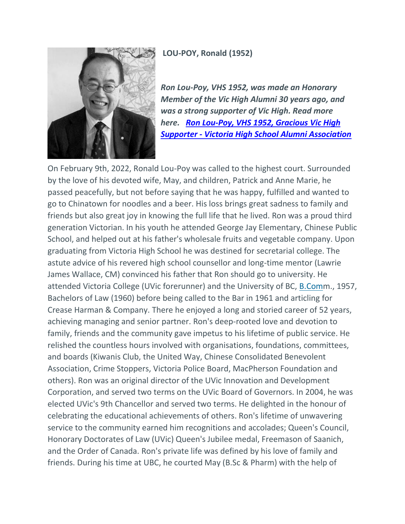**LOU-POY, Ronald (1952)**



*Ron Lou-Poy, VHS 1952, was made an Honorary Member of the Vic High Alumni 30 years ago, and was a strong supporter of Vic High. Read more here. [Ron Lou-Poy, VHS 1952, Gracious](https://vichigh.com/ron-lou-poy-vhs-1952-gracious-vic-high-supporter/) Vic High Supporter - [Victoria High School Alumni Association](https://vichigh.com/ron-lou-poy-vhs-1952-gracious-vic-high-supporter/)*

On February 9th, 2022, Ronald Lou-Poy was called to the highest court. Surrounded by the love of his devoted wife, May, and children, Patrick and Anne Marie, he passed peacefully, but not before saying that he was happy, fulfilled and wanted to go to Chinatown for noodles and a beer. His loss brings great sadness to family and friends but also great joy in knowing the full life that he lived. Ron was a proud third generation Victorian. In his youth he attended George Jay Elementary, Chinese Public School, and helped out at his father's wholesale fruits and vegetable company. Upon graduating from Victoria High School he was destined for secretarial college. The astute advice of his revered high school counsellor and long-time mentor (Lawrie James Wallace, CM) convinced his father that Ron should go to university. He attended Victoria College (UVic forerunner) and the University of BC, [B.Comm](http://b.com/)., 1957, Bachelors of Law (1960) before being called to the Bar in 1961 and articling for Crease Harman & Company. There he enjoyed a long and storied career of 52 years, achieving managing and senior partner. Ron's deep-rooted love and devotion to family, friends and the community gave impetus to his lifetime of public service. He relished the countless hours involved with organisations, foundations, committees, and boards (Kiwanis Club, the United Way, Chinese Consolidated Benevolent Association, Crime Stoppers, Victoria Police Board, MacPherson Foundation and others). Ron was an original director of the UVic Innovation and Development Corporation, and served two terms on the UVic Board of Governors. In 2004, he was elected UVic's 9th Chancellor and served two terms. He delighted in the honour of celebrating the educational achievements of others. Ron's lifetime of unwavering service to the community earned him recognitions and accolades; Queen's Council, Honorary Doctorates of Law (UVic) Queen's Jubilee medal, Freemason of Saanich, and the Order of Canada. Ron's private life was defined by his love of family and friends. During his time at UBC, he courted May (B.Sc & Pharm) with the help of